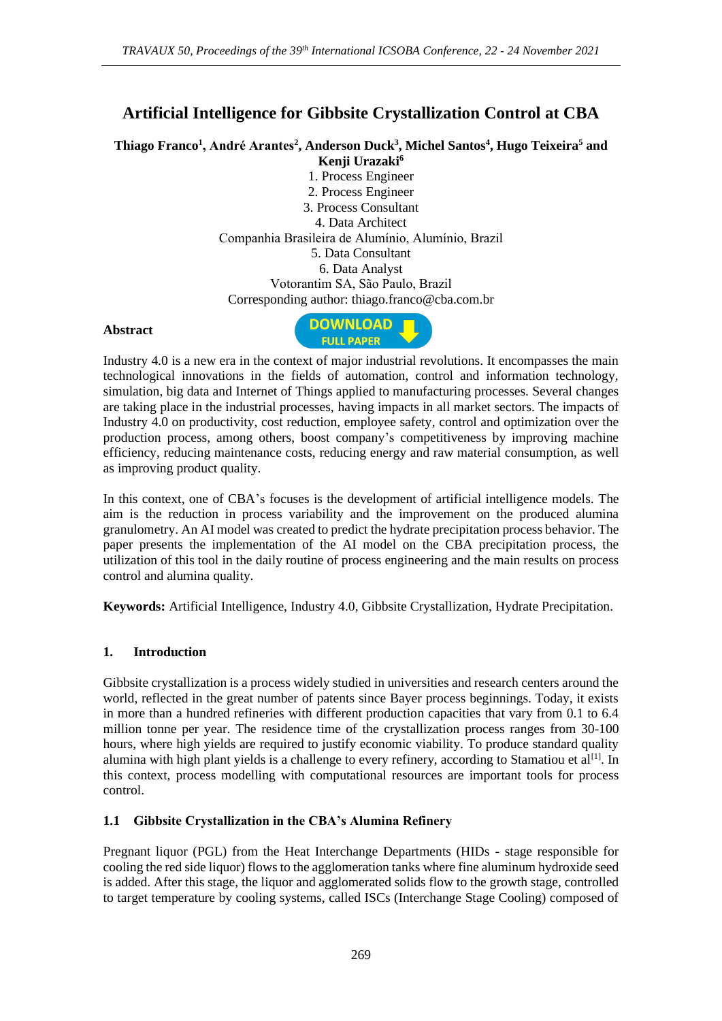# **Artificial Intelligence for Gibbsite Crystallization Control at CBA**

**Thiago Franco<sup>1</sup> , André Arantes<sup>2</sup> , Anderson Duck<sup>3</sup> , Michel Santos<sup>4</sup> , Hugo Teixeira<sup>5</sup> and Kenji Urazaki<sup>6</sup>**

> 1. Process Engineer 2. Process Engineer 3. Process Consultant 4. Data Architect Companhia Brasileira de Alumínio, Alumínio, Brazil 5. Data Consultant 6. Data Analyst Votorantim SA, São Paulo, Brazil Corresponding author: thiago.franco@cba.com.br

#### **Abstract**



Industry 4.0 is a new era in the context of major industrial revolutions. It encompasses the main technological innovations in the fields of automation, control and information technology, simulation, big data and Internet of Things applied to manufacturing processes. Several changes are taking place in the industrial processes, having impacts in all market sectors. The impacts of Industry 4.0 on productivity, cost reduction, employee safety, control and optimization over the production process, among others, boost company's competitiveness by improving machine efficiency, reducing maintenance costs, reducing energy and raw material consumption, as well as improving product quality.

In this context, one of CBA's focuses is the development of artificial intelligence models. The aim is the reduction in process variability and the improvement on the produced alumina granulometry. An AI model was created to predict the hydrate precipitation process behavior. The paper presents the implementation of the AI model on the CBA precipitation process, the utilization of this tool in the daily routine of process engineering and the main results on process control and alumina quality.

**Keywords:** Artificial Intelligence, Industry 4.0, Gibbsite Crystallization, Hydrate Precipitation.

### **1. Introduction**

Gibbsite crystallization is a process widely studied in universities and research centers around the world, reflected in the great number of patents since Bayer process beginnings. Today, it exists in more than a hundred refineries with different production capacities that vary from 0.1 to 6.4 million tonne per year. The residence time of the crystallization process ranges from 30-100 hours, where high yields are required to justify economic viability. To produce standard quality alumina with high plant yields is a challenge to every refinery, according to Stamatiou et  $al^{[1]}$ . In this context, process modelling with computational resources are important tools for process control.

### **1.1 Gibbsite Crystallization in the CBA's Alumina Refinery**

Pregnant liquor (PGL) from the Heat Interchange Departments (HIDs - stage responsible for cooling the red side liquor) flows to the agglomeration tanks where fine aluminum hydroxide seed is added. After this stage, the liquor and agglomerated solids flow to the growth stage, controlled to target temperature by cooling systems, called ISCs (Interchange Stage Cooling) composed of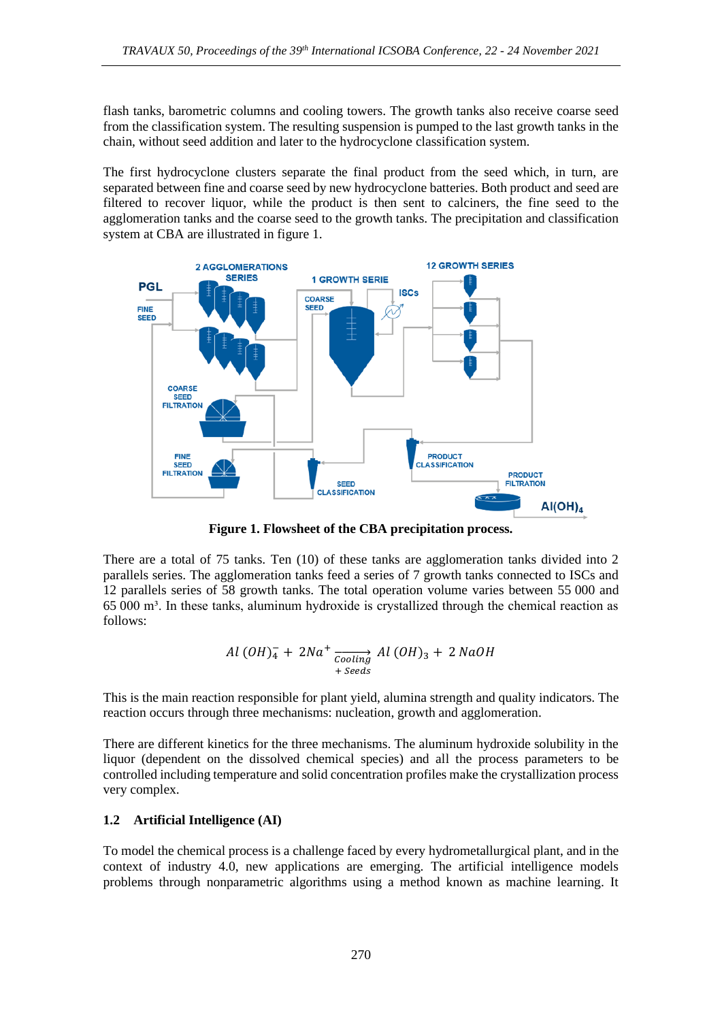flash tanks, barometric columns and cooling towers. The growth tanks also receive coarse seed from the classification system. The resulting suspension is pumped to the last growth tanks in the chain, without seed addition and later to the hydrocyclone classification system.

The first hydrocyclone clusters separate the final product from the seed which, in turn, are separated between fine and coarse seed by new hydrocyclone batteries. Both product and seed are filtered to recover liquor, while the product is then sent to calciners, the fine seed to the agglomeration tanks and the coarse seed to the growth tanks. The precipitation and classification system at CBA are illustrated in figure 1.



**Figure 1. Flowsheet of the CBA precipitation process.**

There are a total of 75 tanks. Ten (10) of these tanks are agglomeration tanks divided into 2 parallels series. The agglomeration tanks feed a series of 7 growth tanks connected to ISCs and 12 parallels series of 58 growth tanks. The total operation volume varies between 55 000 and 65 000 m³. In these tanks, aluminum hydroxide is crystallized through the chemical reaction as follows:

$$
Al (OH)4 + 2Na+  $\xrightarrow{\text{cooling}} Al (OH)3 + 2 NaOH$   
+ *Seeds*
$$

This is the main reaction responsible for plant yield, alumina strength and quality indicators. The reaction occurs through three mechanisms: nucleation, growth and agglomeration.

There are different kinetics for the three mechanisms. The aluminum hydroxide solubility in the liquor (dependent on the dissolved chemical species) and all the process parameters to be controlled including temperature and solid concentration profiles make the crystallization process very complex.

### **1.2 Artificial Intelligence (AI)**

To model the chemical process is a challenge faced by every hydrometallurgical plant, and in the context of industry 4.0, new applications are emerging. The artificial intelligence models problems through nonparametric algorithms using a method known as machine learning. It